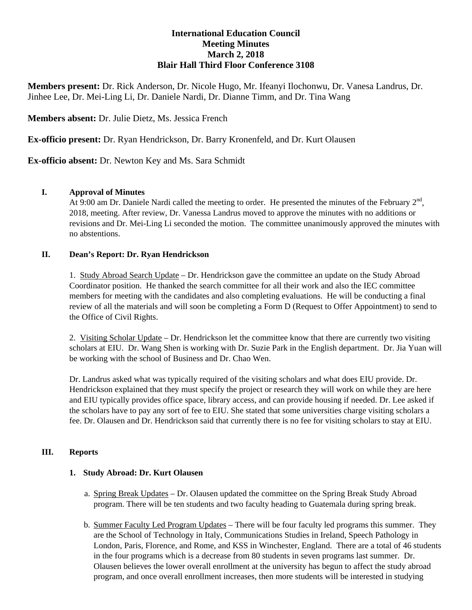# **International Education Council Meeting Minutes March 2, 2018 Blair Hall Third Floor Conference 3108**

**Members present:** Dr. Rick Anderson, Dr. Nicole Hugo, Mr. Ifeanyi Ilochonwu, Dr. Vanesa Landrus, Dr. Jinhee Lee, Dr. Mei-Ling Li, Dr. Daniele Nardi, Dr. Dianne Timm, and Dr. Tina Wang

**Members absent:** Dr. Julie Dietz, Ms. Jessica French

**Ex-officio present:** Dr. Ryan Hendrickson, Dr. Barry Kronenfeld, and Dr. Kurt Olausen

**Ex-officio absent:** Dr. Newton Key and Ms. Sara Schmidt

## **I. Approval of Minutes**

At 9:00 am Dr. Daniele Nardi called the meeting to order. He presented the minutes of the February  $2<sup>nd</sup>$ , 2018, meeting. After review, Dr. Vanessa Landrus moved to approve the minutes with no additions or revisions and Dr. Mei-Ling Li seconded the motion. The committee unanimously approved the minutes with no abstentions.

#### **II. Dean's Report: Dr. Ryan Hendrickson**

1. Study Abroad Search Update – Dr. Hendrickson gave the committee an update on the Study Abroad Coordinator position. He thanked the search committee for all their work and also the IEC committee members for meeting with the candidates and also completing evaluations. He will be conducting a final review of all the materials and will soon be completing a Form D (Request to Offer Appointment) to send to the Office of Civil Rights.

2. Visiting Scholar Update – Dr. Hendrickson let the committee know that there are currently two visiting scholars at EIU. Dr. Wang Shen is working with Dr. Suzie Park in the English department. Dr. Jia Yuan will be working with the school of Business and Dr. Chao Wen.

Dr. Landrus asked what was typically required of the visiting scholars and what does EIU provide. Dr. Hendrickson explained that they must specify the project or research they will work on while they are here and EIU typically provides office space, library access, and can provide housing if needed. Dr. Lee asked if the scholars have to pay any sort of fee to EIU. She stated that some universities charge visiting scholars a fee. Dr. Olausen and Dr. Hendrickson said that currently there is no fee for visiting scholars to stay at EIU.

## **III. Reports**

#### **1. Study Abroad: Dr. Kurt Olausen**

- a. Spring Break Updates Dr. Olausen updated the committee on the Spring Break Study Abroad program. There will be ten students and two faculty heading to Guatemala during spring break.
- b. Summer Faculty Led Program Updates There will be four faculty led programs this summer. They are the School of Technology in Italy, Communications Studies in Ireland, Speech Pathology in London, Paris, Florence, and Rome, and KSS in Winchester, England. There are a total of 46 students in the four programs which is a decrease from 80 students in seven programs last summer. Dr. Olausen believes the lower overall enrollment at the university has begun to affect the study abroad program, and once overall enrollment increases, then more students will be interested in studying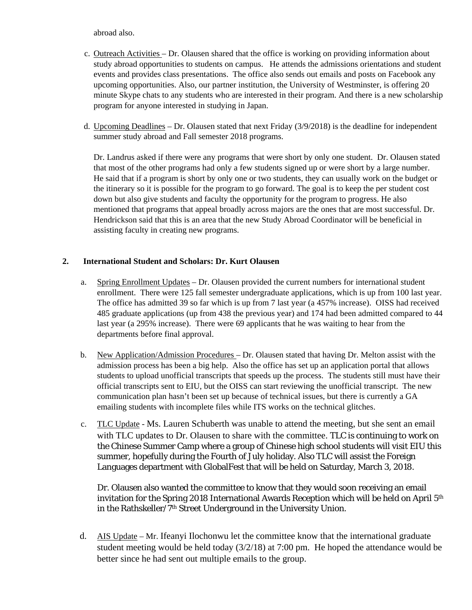abroad also.

- c. Outreach Activities Dr. Olausen shared that the office is working on providing information about study abroad opportunities to students on campus. He attends the admissions orientations and student events and provides class presentations. The office also sends out emails and posts on Facebook any upcoming opportunities. Also, our partner institution, the University of Westminster, is offering 20 minute Skype chats to any students who are interested in their program. And there is a new scholarship program for anyone interested in studying in Japan.
- d. Upcoming Deadlines Dr. Olausen stated that next Friday (3/9/2018) is the deadline for independent summer study abroad and Fall semester 2018 programs.

Dr. Landrus asked if there were any programs that were short by only one student. Dr. Olausen stated that most of the other programs had only a few students signed up or were short by a large number. He said that if a program is short by only one or two students, they can usually work on the budget or the itinerary so it is possible for the program to go forward. The goal is to keep the per student cost down but also give students and faculty the opportunity for the program to progress. He also mentioned that programs that appeal broadly across majors are the ones that are most successful. Dr. Hendrickson said that this is an area that the new Study Abroad Coordinator will be beneficial in assisting faculty in creating new programs.

## **2. International Student and Scholars: Dr. Kurt Olausen**

- a. Spring Enrollment Updates Dr. Olausen provided the current numbers for international student enrollment. There were 125 fall semester undergraduate applications, which is up from 100 last year. The office has admitted 39 so far which is up from 7 last year (a 457% increase). OISS had received 485 graduate applications (up from 438 the previous year) and 174 had been admitted compared to 44 last year (a 295% increase). There were 69 applicants that he was waiting to hear from the departments before final approval.
- b. New Application/Admission Procedures Dr. Olausen stated that having Dr. Melton assist with the admission process has been a big help. Also the office has set up an application portal that allows students to upload unofficial transcripts that speeds up the process. The students still must have their official transcripts sent to EIU, but the OISS can start reviewing the unofficial transcript. The new communication plan hasn't been set up because of technical issues, but there is currently a GA emailing students with incomplete files while ITS works on the technical glitches.
- c. TLC Update Ms. Lauren Schuberth was unable to attend the meeting, but she sent an email with TLC updates to Dr. Olausen to share with the committee. TLC is continuing to work on the Chinese Summer Camp where a group of Chinese high school students will visit EIU this summer, hopefully during the Fourth of July holiday. Also TLC will assist the Foreign Languages department with GlobalFest that will be held on Saturday, March 3, 2018.

Dr. Olausen also wanted the committee to know that they would soon receiving an email invitation for the Spring 2018 International Awards Reception which will be held on April 5<sup>th</sup> in the Rathskeller/7th Street Underground in the University Union.

d. AIS Update – Mr. Ifeanyi Ilochonwu let the committee know that the international graduate student meeting would be held today (3/2/18) at 7:00 pm. He hoped the attendance would be better since he had sent out multiple emails to the group.